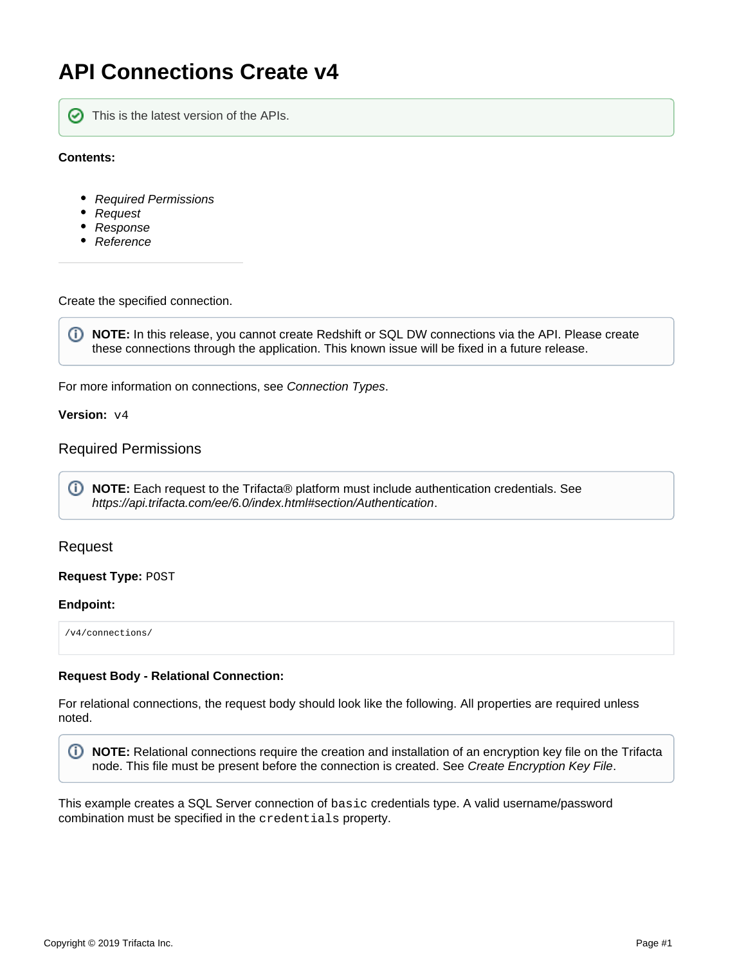# **API Connections Create v4**

```
の
```
This is the latest version of the APIs.

### **Contents:**

- [Required Permissions](#page-0-0)
- [Request](#page-0-1)
- [Response](#page-4-0)
- [Reference](#page-4-1)

Create the specified connection.

⊙ **NOTE:** In this release, you cannot create Redshift or SQL DW connections via the API. Please create these connections through the application. This known issue will be fixed in a future release.

For more information on connections, see [Connection Types](https://docs.trifacta.com/display/r060/Connection+Types).

**Version:** v4

## <span id="page-0-0"></span>Required Permissions

**NOTE:** Each request to the Trifacta® platform must include authentication credentials. See <https://api.trifacta.com/ee/6.0/index.html#section/Authentication>.

## <span id="page-0-1"></span>Request

### **Request Type:** POST

#### **Endpoint:**

/v4/connections/

#### **Request Body - Relational Connection:**

For relational connections, the request body should look like the following. All properties are required unless noted.

**NOTE:** Relational connections require the creation and installation of an encryption key file on the Trifacta node. This file must be present before the connection is created. See [Create Encryption Key File](https://docs.trifacta.com/display/r060/Create+Encryption+Key+File).

This example creates a SQL Server connection of basic credentials type. A valid username/password combination must be specified in the credentials property.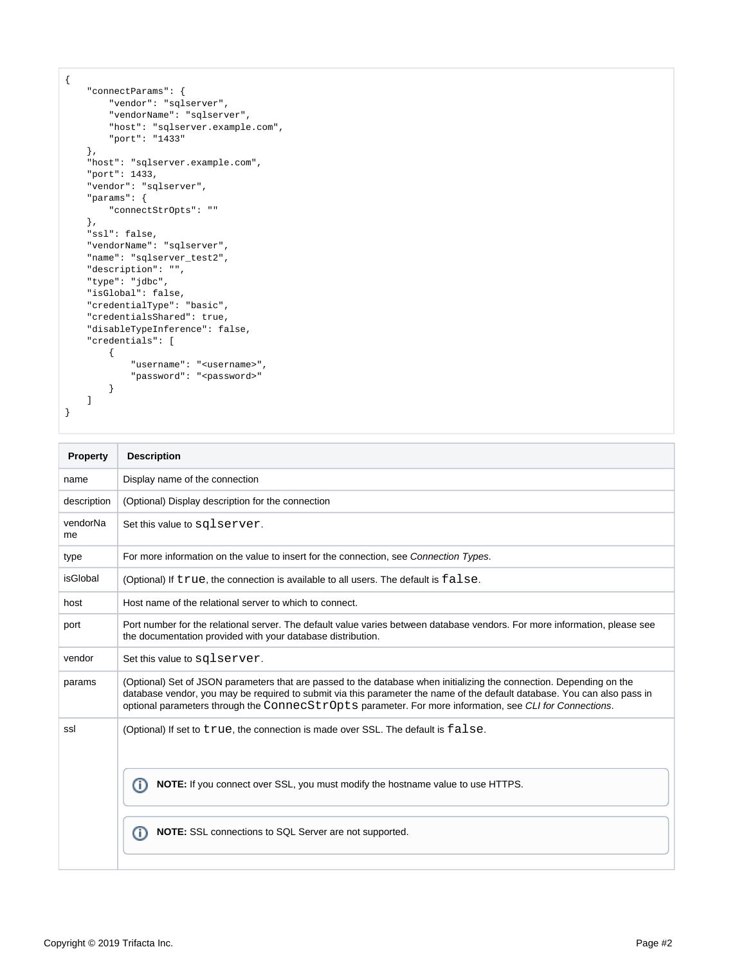```
{
     "connectParams": {
         "vendor": "sqlserver",
         "vendorName": "sqlserver",
        "host": "sqlserver.example.com",
        "port": "1433"
     },
     "host": "sqlserver.example.com",
     "port": 1433,
     "vendor": "sqlserver",
     "params": {
         "connectStrOpts": ""
     },
     "ssl": false,
     "vendorName": "sqlserver",
     "name": "sqlserver_test2",
     "description": "",
     "type": "jdbc",
     "isGlobal": false,
     "credentialType": "basic",
     "credentialsShared": true,
     "disableTypeInference": false,
     "credentials": [
         {
             "username": "<username>",
             "password": "<password>"
         }
    ]
}
```

| Property       | <b>Description</b>                                                                                                                                                                                                                                                                                                                                          |  |
|----------------|-------------------------------------------------------------------------------------------------------------------------------------------------------------------------------------------------------------------------------------------------------------------------------------------------------------------------------------------------------------|--|
| name           | Display name of the connection                                                                                                                                                                                                                                                                                                                              |  |
| description    | (Optional) Display description for the connection                                                                                                                                                                                                                                                                                                           |  |
| vendorNa<br>me | Set this value to sqlserver.                                                                                                                                                                                                                                                                                                                                |  |
| type           | For more information on the value to insert for the connection, see Connection Types.                                                                                                                                                                                                                                                                       |  |
| isGlobal       | (Optional) If true, the connection is available to all users. The default is false.                                                                                                                                                                                                                                                                         |  |
| host           | Host name of the relational server to which to connect.                                                                                                                                                                                                                                                                                                     |  |
| port           | Port number for the relational server. The default value varies between database vendors. For more information, please see<br>the documentation provided with your database distribution.                                                                                                                                                                   |  |
| vendor         | Set this value to sqlserver.                                                                                                                                                                                                                                                                                                                                |  |
| params         | (Optional) Set of JSON parameters that are passed to the database when initializing the connection. Depending on the<br>database vendor, you may be required to submit via this parameter the name of the default database. You can also pass in<br>optional parameters through the ConnecStrOpts parameter. For more information, see CLI for Connections. |  |
| ssl            | (Optional) If set to true, the connection is made over SSL. The default is false.                                                                                                                                                                                                                                                                           |  |
|                | <b>NOTE:</b> If you connect over SSL, you must modify the hostname value to use HTTPS.<br>(i)                                                                                                                                                                                                                                                               |  |
|                | <b>NOTE:</b> SSL connections to SQL Server are not supported.<br>Œ                                                                                                                                                                                                                                                                                          |  |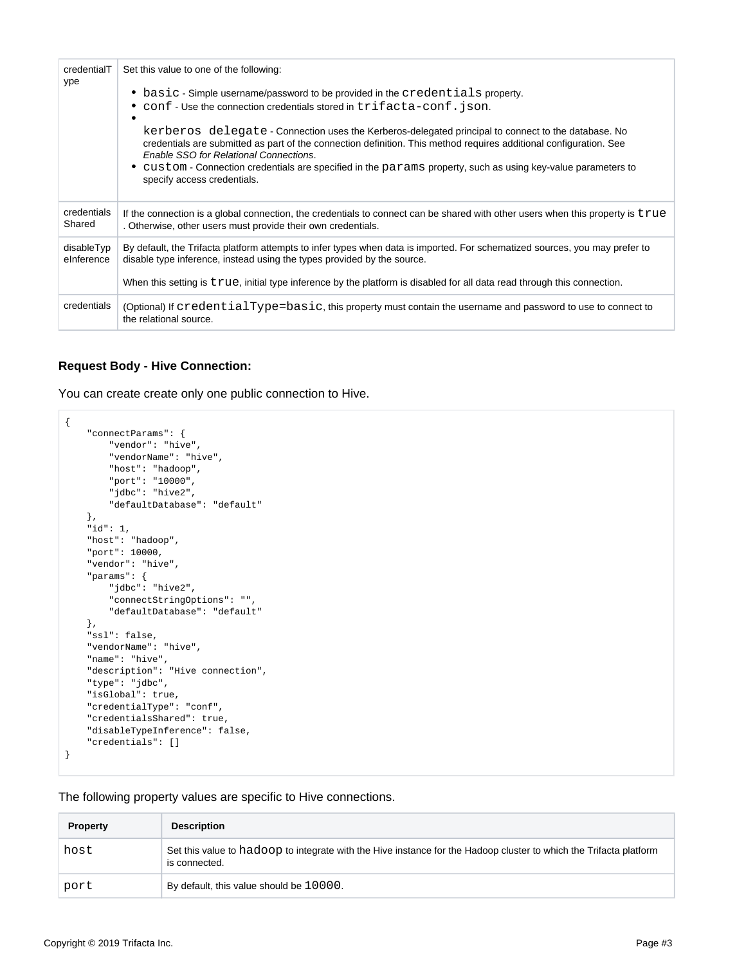| credentialT<br>ype       | Set this value to one of the following:                                                                                                                                                                                                                             |  |
|--------------------------|---------------------------------------------------------------------------------------------------------------------------------------------------------------------------------------------------------------------------------------------------------------------|--|
|                          | • basic - Simple username/password to be provided in the credentials property.<br>• conf - Use the connection credentials stored in trifacta-conf. json.                                                                                                            |  |
|                          | kerberos delegate - Connection uses the Kerberos-delegated principal to connect to the database. No<br>credentials are submitted as part of the connection definition. This method requires additional configuration. See<br>Enable SSO for Relational Connections. |  |
|                          | • custom - Connection credentials are specified in the params property, such as using key-value parameters to<br>specify access credentials.                                                                                                                        |  |
| credentials<br>Shared    | If the connection is a global connection, the credentials to connect can be shared with other users when this property is true<br>. Otherwise, other users must provide their own credentials.                                                                      |  |
| disableTyp<br>elnference | By default, the Trifacta platform attempts to infer types when data is imported. For schematized sources, you may prefer to<br>disable type inference, instead using the types provided by the source.                                                              |  |
|                          | When this setting is true, initial type inference by the platform is disabled for all data read through this connection.                                                                                                                                            |  |
| credentials              | (Optional) If credentialType=basic, this property must contain the username and password to use to connect to<br>the relational source.                                                                                                                             |  |

#### **Request Body - Hive Connection:**

You can create create only one public connection to Hive.

```
{
     "connectParams": {
        "vendor": "hive",
         "vendorName": "hive",
         "host": "hadoop",
         "port": "10000",
         "jdbc": "hive2",
         "defaultDatabase": "default"
     },
     "id": 1,
     "host": "hadoop",
     "port": 10000,
     "vendor": "hive",
     "params": {
         "jdbc": "hive2",
         "connectStringOptions": "",
         "defaultDatabase": "default"
     },
     "ssl": false,
     "vendorName": "hive",
     "name": "hive",
    "description": "Hive connection",
     "type": "jdbc",
     "isGlobal": true,
     "credentialType": "conf",
     "credentialsShared": true,
     "disableTypeInference": false,
     "credentials": []
}
```
The following property values are specific to Hive connections.

| <b>Property</b> | <b>Description</b>                                                                                                                  |
|-----------------|-------------------------------------------------------------------------------------------------------------------------------------|
| host            | Set this value to hadoop to integrate with the Hive instance for the Hadoop cluster to which the Trifacta platform<br>is connected. |
| port            | By default, this value should be 10000.                                                                                             |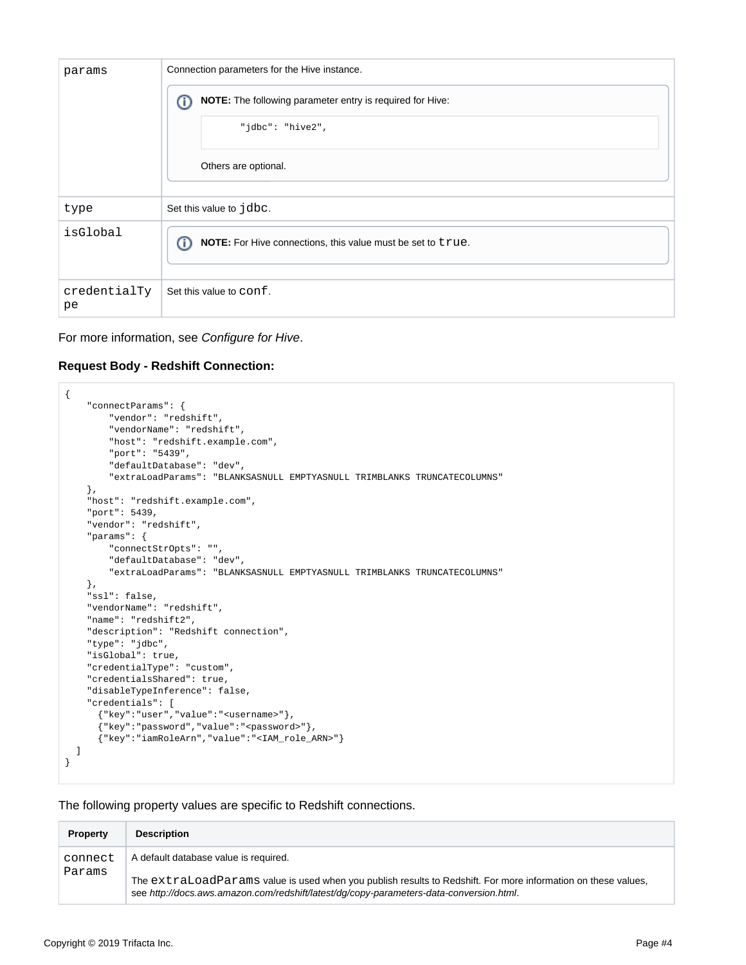| params             | Connection parameters for the Hive instance.                     |
|--------------------|------------------------------------------------------------------|
|                    | NOTE: The following parameter entry is required for Hive:<br>⋒   |
|                    | "jdbc": "hive2",                                                 |
|                    | Others are optional.                                             |
| type               | Set this value to jdbc.                                          |
| isGlobal           | ⋒<br>NOTE: For Hive connections, this value must be set to true. |
| credentialTy<br>pe | Set this value to conf.                                          |

For more information, see [Configure for Hive](https://docs.trifacta.com/display/r060/Configure+for+Hive).

## **Request Body - Redshift Connection:**

```
{
     "connectParams": {
        "vendor": "redshift",
         "vendorName": "redshift",
        "host": "redshift.example.com",
        "port": "5439",
         "defaultDatabase": "dev",
         "extraLoadParams": "BLANKSASNULL EMPTYASNULL TRIMBLANKS TRUNCATECOLUMNS"
     },
     "host": "redshift.example.com",
     "port": 5439,
     "vendor": "redshift",
     "params": {
        "connectStrOpts": "",
         "defaultDatabase": "dev",
         "extraLoadParams": "BLANKSASNULL EMPTYASNULL TRIMBLANKS TRUNCATECOLUMNS"
     },
     "ssl": false,
     "vendorName": "redshift",
     "name": "redshift2",
     "description": "Redshift connection",
     "type": "jdbc",
     "isGlobal": true,
     "credentialType": "custom",
     "credentialsShared": true,
     "disableTypeInference": false,
     "credentials": [
       {"key":"user","value":"<username>"},
       {"key":"password","value":"<password>"},
       {"key":"iamRoleArn","value":"<IAM_role_ARN>"}
  ]
}
```
The following property values are specific to Redshift connections.

| <b>Property</b>   | <b>Description</b>                                                                                                                                                                                                                                |
|-------------------|---------------------------------------------------------------------------------------------------------------------------------------------------------------------------------------------------------------------------------------------------|
| connect<br>Params | A default database value is required.<br>The extraLoadParams value is used when you publish results to Redshift. For more information on these values,<br>see http://docs.aws.amazon.com/redshift/latest/dq/copy-parameters-data-conversion.html. |